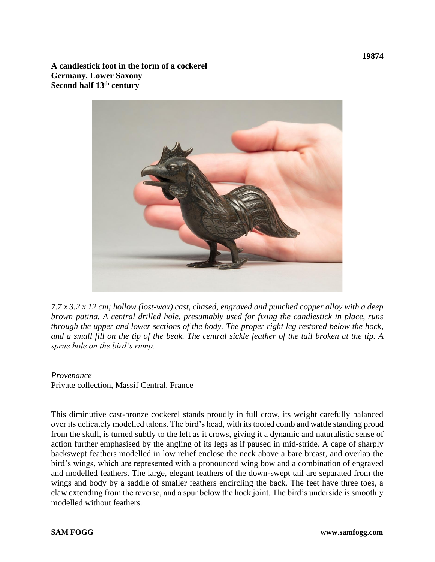**A candlestick foot in the form of a cockerel Germany, Lower Saxony Second half 13th century**



*7.7 x 3.2 x 12 cm; hollow (lost-wax) cast, chased, engraved and punched copper alloy with a deep brown patina. A central drilled hole, presumably used for fixing the candlestick in place, runs through the upper and lower sections of the body. The proper right leg restored below the hock, and a small fill on the tip of the beak. The central sickle feather of the tail broken at the tip. A sprue hole on the bird's rump.* 

## *Provenance*

Private collection, Massif Central, France

This diminutive cast-bronze cockerel stands proudly in full crow, its weight carefully balanced over its delicately modelled talons. The bird's head, with its tooled comb and wattle standing proud from the skull, is turned subtly to the left as it crows, giving it a dynamic and naturalistic sense of action further emphasised by the angling of its legs as if paused in mid-stride. A cape of sharply backswept feathers modelled in low relief enclose the neck above a bare breast, and overlap the bird's wings, which are represented with a pronounced wing bow and a combination of engraved and modelled feathers. The large, elegant feathers of the down-swept tail are separated from the wings and body by a saddle of smaller feathers encircling the back. The feet have three toes, a claw extending from the reverse, and a spur below the hock joint. The bird's underside is smoothly modelled without feathers.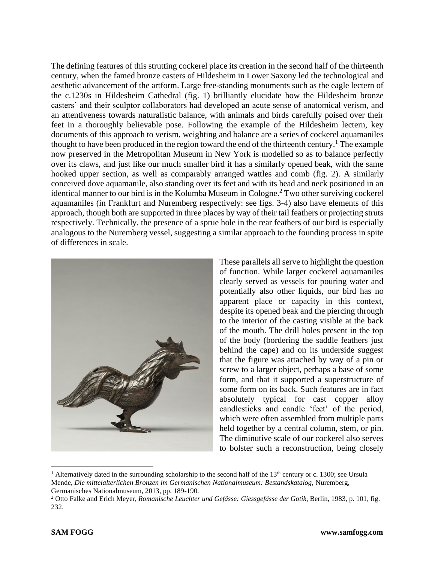The defining features of this strutting cockerel place its creation in the second half of the thirteenth century, when the famed bronze casters of Hildesheim in Lower Saxony led the technological and aesthetic advancement of the artform. Large free-standing monuments such as the eagle lectern of the c.1230s in Hildesheim Cathedral (fig. 1) brilliantly elucidate how the Hildesheim bronze casters' and their sculptor collaborators had developed an acute sense of anatomical verism, and an attentiveness towards naturalistic balance, with animals and birds carefully poised over their feet in a thoroughly believable pose. Following the example of the Hildesheim lectern, key documents of this approach to verism, weighting and balance are a series of cockerel aquamaniles thought to have been produced in the region toward the end of the thirteenth century.<sup>1</sup> The example now preserved in the Metropolitan Museum in New York is modelled so as to balance perfectly over its claws, and just like our much smaller bird it has a similarly opened beak, with the same hooked upper section, as well as comparably arranged wattles and comb (fig. 2). A similarly conceived dove aquamanile, also standing over its feet and with its head and neck positioned in an identical manner to our bird is in the Kolumba Museum in Cologne.<sup>2</sup> Two other surviving cockerel aquamaniles (in Frankfurt and Nuremberg respectively: see figs. 3-4) also have elements of this approach, though both are supported in three places by way of their tail feathers or projecting struts respectively. Technically, the presence of a sprue hole in the rear feathers of our bird is especially analogous to the Nuremberg vessel, suggesting a similar approach to the founding process in spite of differences in scale.



These parallels all serve to highlight the question of function. While larger cockerel aquamaniles clearly served as vessels for pouring water and potentially also other liquids, our bird has no apparent place or capacity in this context, despite its opened beak and the piercing through to the interior of the casting visible at the back of the mouth. The drill holes present in the top of the body (bordering the saddle feathers just behind the cape) and on its underside suggest that the figure was attached by way of a pin or screw to a larger object, perhaps a base of some form, and that it supported a superstructure of some form on its back. Such features are in fact absolutely typical for cast copper alloy candlesticks and candle 'feet' of the period, which were often assembled from multiple parts held together by a central column, stem, or pin. The diminutive scale of our cockerel also serves to bolster such a reconstruction, being closely

<sup>&</sup>lt;sup>1</sup> Alternatively dated in the surrounding scholarship to the second half of the 13<sup>th</sup> century or c. 1300; see Ursula Mende, *Die mittelalterlichen Bronzen im Germanischen Nationalmuseum: Bestandskatalog,* Nuremberg, Germanisches Nationalmuseum, 2013, pp. 189-190.

<sup>2</sup> Otto Falke and Erich Meyer, *Romanische Leuchter und Gefässe: Giessgefässe der Gotik,* Berlin, 1983, p. 101, fig. 232.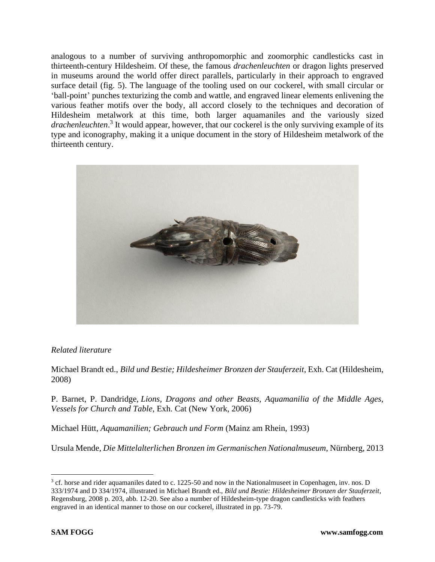analogous to a number of surviving anthropomorphic and zoomorphic candlesticks cast in thirteenth-century Hildesheim. Of these, the famous *drachenleuchten* or dragon lights preserved in museums around the world offer direct parallels, particularly in their approach to engraved surface detail (fig. 5). The language of the tooling used on our cockerel, with small circular or 'ball-point' punches texturizing the comb and wattle, and engraved linear elements enlivening the various feather motifs over the body, all accord closely to the techniques and decoration of Hildesheim metalwork at this time, both larger aquamaniles and the variously sized *drachenleuchten*. 3 It would appear, however, that our cockerel is the only surviving example of its type and iconography, making it a unique document in the story of Hildesheim metalwork of the thirteenth century.



## *Related literature*

Michael Brandt ed., *Bild und Bestie; Hildesheimer Bronzen der Stauferzeit*, Exh. Cat (Hildesheim, 2008)

P. Barnet, P. Dandridge, *Lions, Dragons and other Beasts, Aquamanilia of the Middle Ages, Vessels for Church and Table*, Exh. Cat (New York, 2006)

Michael Hütt, *Aquamanilien; Gebrauch und Form* (Mainz am Rhein, 1993)

Ursula Mende, *Die Mittelalterlichen Bronzen im Germanischen Nationalmuseum*, Nürnberg, 2013

<sup>&</sup>lt;sup>3</sup> cf. horse and rider aquamaniles dated to c. 1225-50 and now in the Nationalmuseet in Copenhagen, inv. nos. D 333/1974 and D 334/1974, illustrated in Michael Brandt ed., *Bild und Bestie: Hildesheimer Bronzen der Stauferzeit*, Regensburg, 2008 p. 203, abb. 12-20. See also a number of Hildesheim-type dragon candlesticks with feathers engraved in an identical manner to those on our cockerel, illustrated in pp. 73-79.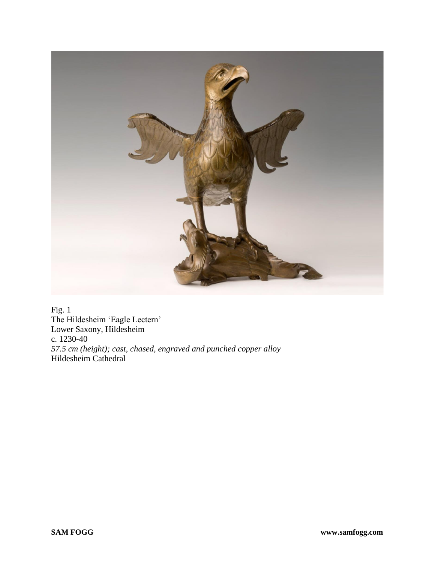

Fig. 1 The Hildesheim 'Eagle Lectern' Lower Saxony, Hildesheim c. 1230-40 *57.5 cm (height); cast, chased, engraved and punched copper alloy* Hildesheim Cathedral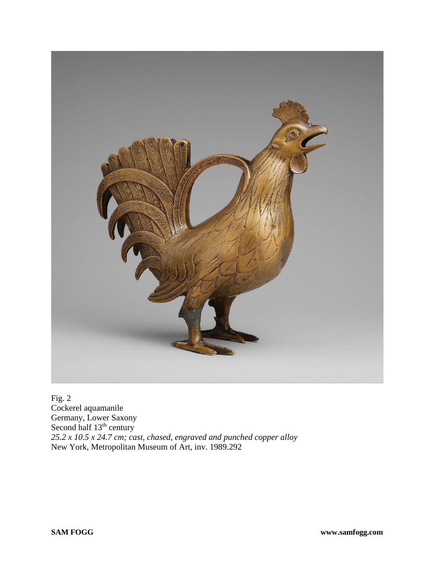

 $Fig. 2$ Cockerel aquamanile Germany, Lower Saxony Second half 13<sup>th</sup> century *25.2 x 10.5 x 24.7 cm; cast, chased, engraved and punched copper alloy* New York, Metropolitan Museum of Art, inv. 1989.292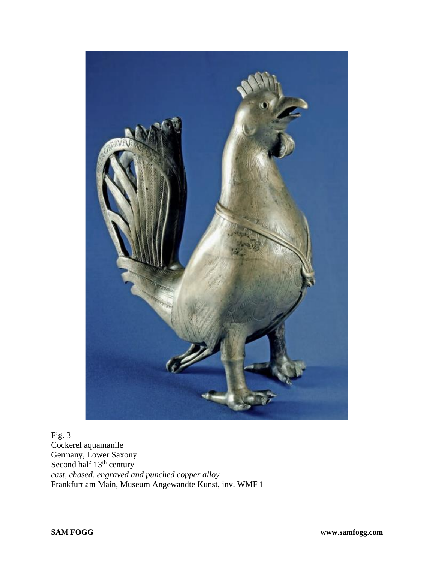

Fig. 3 Cockerel aquamanile Germany, Lower Saxony Second half 13<sup>th</sup> century *cast, chased, engraved and punched copper alloy* Frankfurt am Main, Museum Angewandte Kunst, inv. WMF 1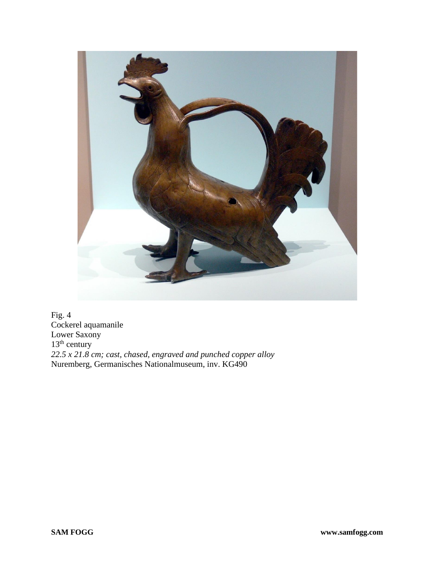

Fig. 4 Cockerel aquamanile Lower Saxony  $13<sup>th</sup>$  century *22.5 x 21.8 cm; cast, chased, engraved and punched copper alloy* Nuremberg, Germanisches Nationalmuseum, inv. KG490